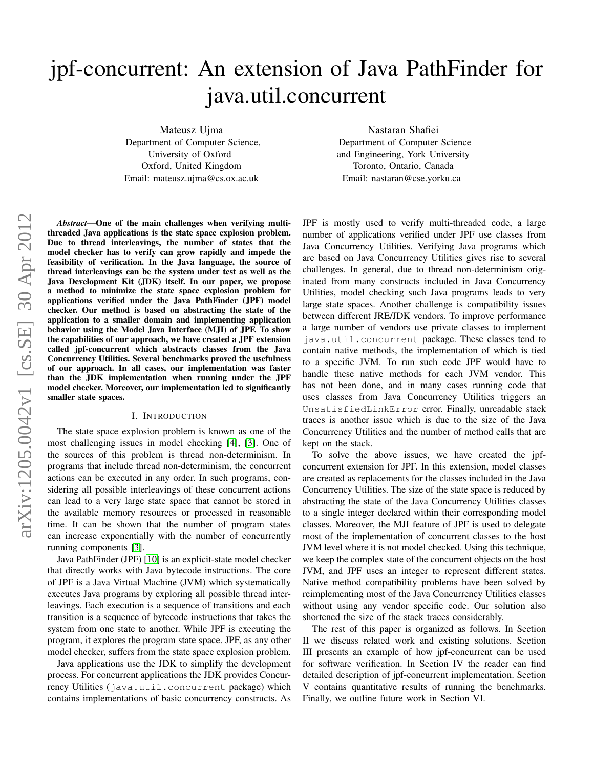# jpf-concurrent: An extension of Java PathFinder for java.util.concurrent

Mateusz Ujma

Department of Computer Science, University of Oxford Oxford, United Kingdom Email: mateusz.ujma@cs.ox.ac.uk

Nastaran Shafiei Department of Computer Science and Engineering, York University Toronto, Ontario, Canada Email: nastaran@cse.yorku.ca

*Abstract*—One of the main challenges when verifying multithreaded Java applications is the state space explosion problem. Due to thread interleavings, the number of states that the model checker has to verify can grow rapidly and impede the feasibility of verification. In the Java language, the source of thread interleavings can be the system under test as well as the Java Development Kit (JDK) itself. In our paper, we propose a method to minimize the state space explosion problem for applications verified under the Java PathFinder (JPF) model checker. Our method is based on abstracting the state of the application to a smaller domain and implementing application behavior using the Model Java Interface (MJI) of JPF. To show the capabilities of our approach, we have created a JPF extension called jpf-concurrent which abstracts classes from the Java Concurrency Utilities. Several benchmarks proved the usefulness of our approach. In all cases, our implementation was faster than the JDK implementation when running under the JPF model checker. Moreover, our implementation led to significantly smaller state spaces.

## I. INTRODUCTION

The state space explosion problem is known as one of the most challenging issues in model checking [\[4\]](#page-5-0), [\[3\]](#page-5-1). One of the sources of this problem is thread non-determinism. In programs that include thread non-determinism, the concurrent actions can be executed in any order. In such programs, considering all possible interleavings of these concurrent actions can lead to a very large state space that cannot be stored in the available memory resources or processed in reasonable time. It can be shown that the number of program states can increase exponentially with the number of concurrently running components [\[3\]](#page-5-1).

Java PathFinder (JPF) [\[10\]](#page-5-2) is an explicit-state model checker that directly works with Java bytecode instructions. The core of JPF is a Java Virtual Machine (JVM) which systematically executes Java programs by exploring all possible thread interleavings. Each execution is a sequence of transitions and each transition is a sequence of bytecode instructions that takes the system from one state to another. While JPF is executing the program, it explores the program state space. JPF, as any other model checker, suffers from the state space explosion problem.

Java applications use the JDK to simplify the development process. For concurrent applications the JDK provides Concurrency Utilities (java.util.concurrent package) which contains implementations of basic concurrency constructs. As JPF is mostly used to verify multi-threaded code, a large number of applications verified under JPF use classes from Java Concurrency Utilities. Verifying Java programs which are based on Java Concurrency Utilities gives rise to several challenges. In general, due to thread non-determinism originated from many constructs included in Java Concurrency Utilities, model checking such Java programs leads to very large state spaces. Another challenge is compatibility issues between different JRE/JDK vendors. To improve performance a large number of vendors use private classes to implement java.util.concurrent package. These classes tend to contain native methods, the implementation of which is tied to a specific JVM. To run such code JPF would have to handle these native methods for each JVM vendor. This has not been done, and in many cases running code that uses classes from Java Concurrency Utilities triggers an UnsatisfiedLinkError error. Finally, unreadable stack traces is another issue which is due to the size of the Java Concurrency Utilities and the number of method calls that are kept on the stack.

To solve the above issues, we have created the jpfconcurrent extension for JPF. In this extension, model classes are created as replacements for the classes included in the Java Concurrency Utilities. The size of the state space is reduced by abstracting the state of the Java Concurrency Utilities classes to a single integer declared within their corresponding model classes. Moreover, the MJI feature of JPF is used to delegate most of the implementation of concurrent classes to the host JVM level where it is not model checked. Using this technique, we keep the complex state of the concurrent objects on the host JVM, and JPF uses an integer to represent different states. Native method compatibility problems have been solved by reimplementing most of the Java Concurrency Utilities classes without using any vendor specific code. Our solution also shortened the size of the stack traces considerably.

The rest of this paper is organized as follows. In Section II we discuss related work and existing solutions. Section III presents an example of how jpf-concurrent can be used for software verification. In Section IV the reader can find detailed description of jpf-concurrent implementation. Section V contains quantitative results of running the benchmarks. Finally, we outline future work in Section VI.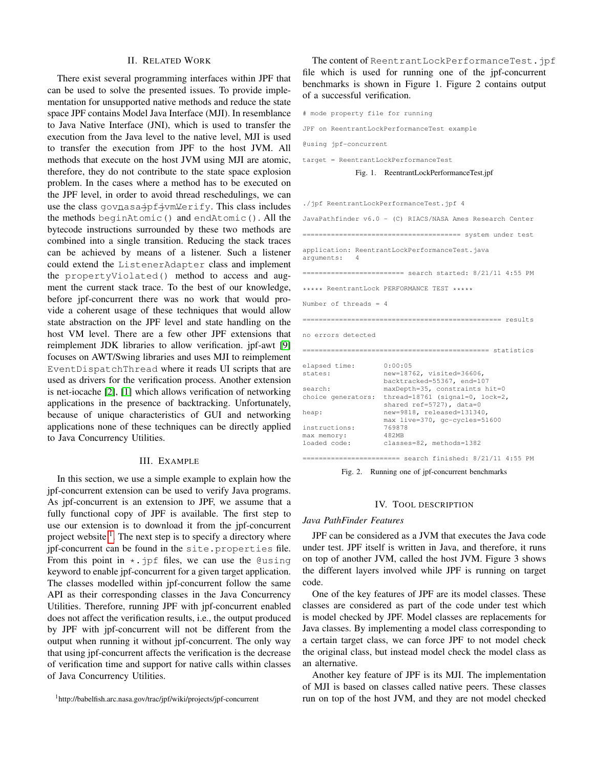#### II. RELATED WORK

There exist several programming interfaces within JPF that can be used to solve the presented issues. To provide implementation for unsupported native methods and reduce the state space JPF contains Model Java Interface (MJI). In resemblance to Java Native Interface (JNI), which is used to transfer the execution from the Java level to the native level, MJI is used to transfer the execution from JPF to the host JVM. All methods that execute on the host JVM using MJI are atomic, therefore, they do not contribute to the state space explosion problem. In the cases where a method has to be executed on the JPF level, in order to avoid thread reschedulings, we can use the class govnasa\_jpf\_jvmVerify. This class includes the methods beginAtomic() and endAtomic(). All the bytecode instructions surrounded by these two methods are combined into a single transition. Reducing the stack traces can be achieved by means of a listener. Such a listener could extend the ListenerAdapter class and implement the propertyViolated() method to access and augment the current stack trace. To the best of our knowledge, before jpf-concurrent there was no work that would provide a coherent usage of these techniques that would allow state abstraction on the JPF level and state handling on the host VM level. There are a few other JPF extensions that reimplement JDK libraries to allow verification. jpf-awt [\[9\]](#page-5-3) focuses on AWT/Swing libraries and uses MJI to reimplement EventDispatchThread where it reads UI scripts that are used as drivers for the verification process. Another extension is net-iocache [\[2\]](#page-5-4), [\[1\]](#page-5-5) which allows verification of networking applications in the presence of backtracking. Unfortunately, because of unique characteristics of GUI and networking applications none of these techniques can be directly applied to Java Concurrency Utilities.

### III. EXAMPLE

In this section, we use a simple example to explain how the jpf-concurrent extension can be used to verify Java programs. As jpf-concurrent is an extension to JPF, we assume that a fully functional copy of JPF is available. The first step to use our extension is to download it from the jpf-concurrent project website  $<sup>1</sup>$  $<sup>1</sup>$  $<sup>1</sup>$ . The next step is to specify a directory where</sup> jpf-concurrent can be found in the site.properties file. From this point in  $\star$ . jpf files, we can use the @using keyword to enable jpf-concurrent for a given target application. The classes modelled within jpf-concurrent follow the same API as their corresponding classes in the Java Concurrency Utilities. Therefore, running JPF with jpf-concurrent enabled does not affect the verification results, i.e., the output produced by JPF with jpf-concurrent will not be different from the output when running it without jpf-concurrent. The only way that using jpf-concurrent affects the verification is the decrease of verification time and support for native calls within classes of Java Concurrency Utilities.

<span id="page-1-0"></span><sup>1</sup>http://babelfish.arc.nasa.gov/trac/jpf/wiki/projects/jpf-concurrent

The content of ReentrantLockPerformanceTest.jpf file which is used for running one of the jpf-concurrent benchmarks is shown in Figure 1. Figure 2 contains output of a successful verification.

# mode property file for running JPF on ReentrantLockPerformanceTest example @using jpf-concurrent target = ReentrantLockPerformanceTest Fig. 1. ReentrantLockPerformanceTest.jpf ./jpf ReentrantLockPerformanceTest.jpf 4 JavaPathfinder v6.0 - (C) RIACS/NASA Ames Research Center ======================================= system under test application: ReentrantLockPerformanceTest.java arguments: 4 ========================= search started: 8/21/11 4:55 PM \*\*\*\*\* ReentrantLock PERFORMANCE TEST \*\*\*\*\* Number of threads = 4 ================================================= results no errors detected ============================================== statistics elapsed time: 0:00:05 states: new=18762, visited=36606, backtracked=55367, end=107 search: maxDepth=35, constraints hit=0 choice generators: thread=18761 (signal=0, lock=2, shared ref=5727), data=0 heap: new=9818, released=131340, max live=370, gc-cycles=51600 instructions: max memory: 482MB loaded code: classes=82, methods=1382 ======================== search finished: 8/21/11 4:55 PM

Fig. 2. Running one of jpf-concurrent benchmarks

#### IV. TOOL DESCRIPTION

# *Java PathFinder Features*

JPF can be considered as a JVM that executes the Java code under test. JPF itself is written in Java, and therefore, it runs on top of another JVM, called the host JVM. Figure 3 shows the different layers involved while JPF is running on target code.

One of the key features of JPF are its model classes. These classes are considered as part of the code under test which is model checked by JPF. Model classes are replacements for Java classes. By implementing a model class corresponding to a certain target class, we can force JPF to not model check the original class, but instead model check the model class as an alternative.

Another key feature of JPF is its MJI. The implementation of MJI is based on classes called native peers. These classes run on top of the host JVM, and they are not model checked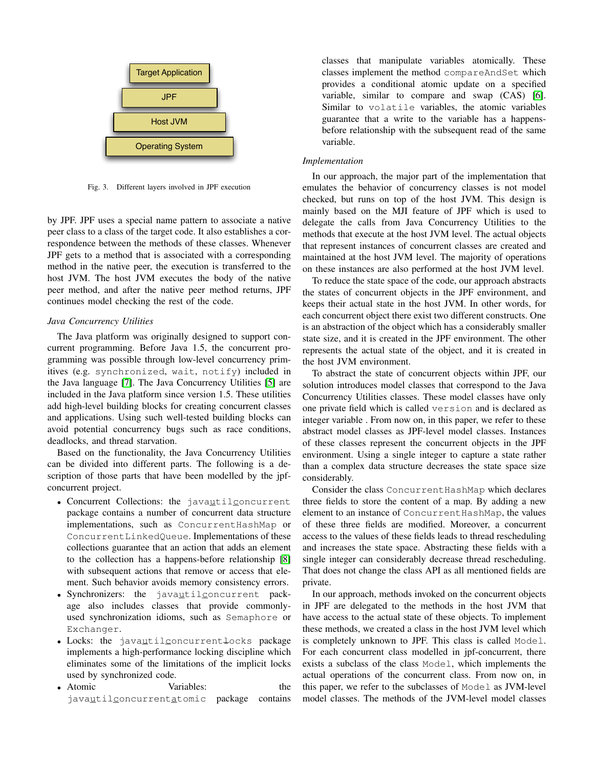

Fig. 3. Different layers involved in JPF execution

by JPF. JPF uses a special name pattern to associate a native peer class to a class of the target code. It also establishes a correspondence between the methods of these classes. Whenever JPF gets to a method that is associated with a corresponding method in the native peer, the execution is transferred to the host JVM. The host JVM executes the body of the native peer method, and after the native peer method returns, JPF continues model checking the rest of the code.

## *Java Concurrency Utilities*

The Java platform was originally designed to support concurrent programming. Before Java 1.5, the concurrent programming was possible through low-level concurrency primitives (e.g. synchronized, wait, notify) included in the Java language [\[7\]](#page-5-6). The Java Concurrency Utilities [\[5\]](#page-5-7) are included in the Java platform since version 1.5. These utilities add high-level building blocks for creating concurrent classes and applications. Using such well-tested building blocks can avoid potential concurrency bugs such as race conditions, deadlocks, and thread starvation.

Based on the functionality, the Java Concurrency Utilities can be divided into different parts. The following is a description of those parts that have been modelled by the jpfconcurrent project.

- Concurrent Collections: the javautilconcurrent package contains a number of concurrent data structure implementations, such as ConcurrentHashMap or ConcurrentLinkedQueue. Implementations of these collections guarantee that an action that adds an element to the collection has a happens-before relationship [\[8\]](#page-5-8) with subsequent actions that remove or access that element. Such behavior avoids memory consistency errors.
- Synchronizers: the javautilconcurrent package also includes classes that provide commonlyused synchronization idioms, such as Semaphore or Exchanger.
- Locks: the javautilconcurrentlocks package implements a high-performance locking discipline which eliminates some of the limitations of the implicit locks used by synchronized code.
- Atomic Variables: the javautilconcurrentatomic package contains

classes that manipulate variables atomically. These classes implement the method compareAndSet which provides a conditional atomic update on a specified variable, similar to compare and swap (CAS) [\[6\]](#page-5-9). Similar to volatile variables, the atomic variables guarantee that a write to the variable has a happensbefore relationship with the subsequent read of the same variable.

# *Implementation*

In our approach, the major part of the implementation that emulates the behavior of concurrency classes is not model checked, but runs on top of the host JVM. This design is mainly based on the MJI feature of JPF which is used to delegate the calls from Java Concurrency Utilities to the methods that execute at the host JVM level. The actual objects that represent instances of concurrent classes are created and maintained at the host JVM level. The majority of operations on these instances are also performed at the host JVM level.

To reduce the state space of the code, our approach abstracts the states of concurrent objects in the JPF environment, and keeps their actual state in the host JVM. In other words, for each concurrent object there exist two different constructs. One is an abstraction of the object which has a considerably smaller state size, and it is created in the JPF environment. The other represents the actual state of the object, and it is created in the host JVM environment.

To abstract the state of concurrent objects within JPF, our solution introduces model classes that correspond to the Java Concurrency Utilities classes. These model classes have only one private field which is called version and is declared as integer variable . From now on, in this paper, we refer to these abstract model classes as JPF-level model classes. Instances of these classes represent the concurrent objects in the JPF environment. Using a single integer to capture a state rather than a complex data structure decreases the state space size considerably.

Consider the class ConcurrentHashMap which declares three fields to store the content of a map. By adding a new element to an instance of ConcurrentHashMap, the values of these three fields are modified. Moreover, a concurrent access to the values of these fields leads to thread rescheduling and increases the state space. Abstracting these fields with a single integer can considerably decrease thread rescheduling. That does not change the class API as all mentioned fields are private.

In our approach, methods invoked on the concurrent objects in JPF are delegated to the methods in the host JVM that have access to the actual state of these objects. To implement these methods, we created a class in the host JVM level which is completely unknown to JPF. This class is called Model. For each concurrent class modelled in jpf-concurrent, there exists a subclass of the class Model, which implements the actual operations of the concurrent class. From now on, in this paper, we refer to the subclasses of Model as JVM-level model classes. The methods of the JVM-level model classes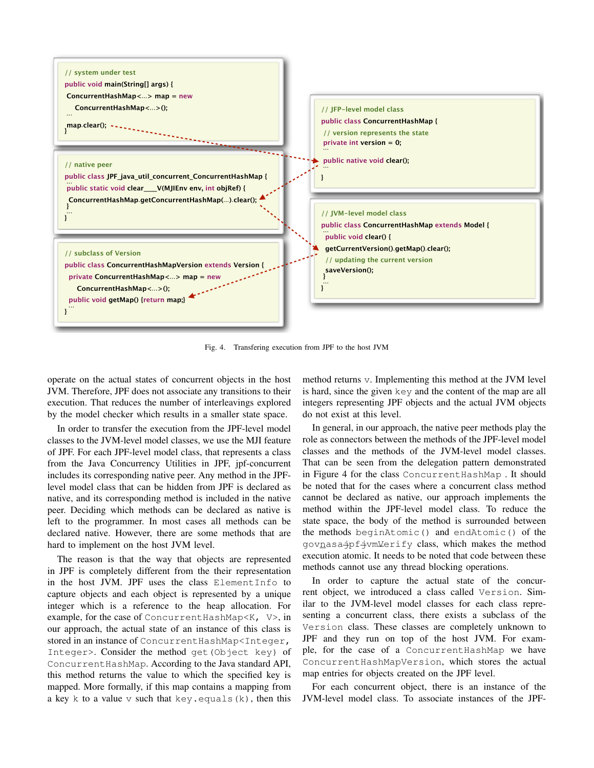

Fig. 4. Transfering execution from JPF to the host JVM

operate on the actual states of concurrent objects in the host JVM. Therefore, JPF does not associate any transitions to their execution. That reduces the number of interleavings explored by the model checker which results in a smaller state space.

In order to transfer the execution from the JPF-level model classes to the JVM-level model classes, we use the MJI feature of JPF. For each JPF-level model class, that represents a class from the Java Concurrency Utilities in JPF, jpf-concurrent includes its corresponding native peer. Any method in the JPFlevel model class that can be hidden from JPF is declared as native, and its corresponding method is included in the native peer. Deciding which methods can be declared as native is left to the programmer. In most cases all methods can be declared native. However, there are some methods that are hard to implement on the host JVM level.

The reason is that the way that objects are represented in JPF is completely different from the their representation in the host JVM. JPF uses the class ElementInfo to capture objects and each object is represented by a unique integer which is a reference to the heap allocation. For example, for the case of ConcurrentHashMap<K, V>, in our approach, the actual state of an instance of this class is stored in an instance of ConcurrentHashMap<Integer, Integer>. Consider the method get(Object key) of ConcurrentHashMap. According to the Java standard API, this method returns the value to which the specified key is mapped. More formally, if this map contains a mapping from a key k to a value  $\nu$  such that key.equals(k), then this

method returns v. Implementing this method at the JVM level is hard, since the given key and the content of the map are all integers representing JPF objects and the actual JVM objects do not exist at this level.

In general, in our approach, the native peer methods play the role as connectors between the methods of the JPF-level model classes and the methods of the JVM-level model classes. That can be seen from the delegation pattern demonstrated in Figure 4 for the class ConcurrentHashMap . It should be noted that for the cases where a concurrent class method cannot be declared as native, our approach implements the method within the JPF-level model class. To reduce the state space, the body of the method is surrounded between the methods beginAtomic() and endAtomic() of the govnasa jpf jvm Verify class, which makes the method execution atomic. It needs to be noted that code between these methods cannot use any thread blocking operations.

In order to capture the actual state of the concurrent object, we introduced a class called Version. Similar to the JVM-level model classes for each class representing a concurrent class, there exists a subclass of the Version class. These classes are completely unknown to JPF and they run on top of the host JVM. For example, for the case of a ConcurrentHashMap we have ConcurrentHashMapVersion, which stores the actual map entries for objects created on the JPF level.

For each concurrent object, there is an instance of the JVM-level model class. To associate instances of the JPF-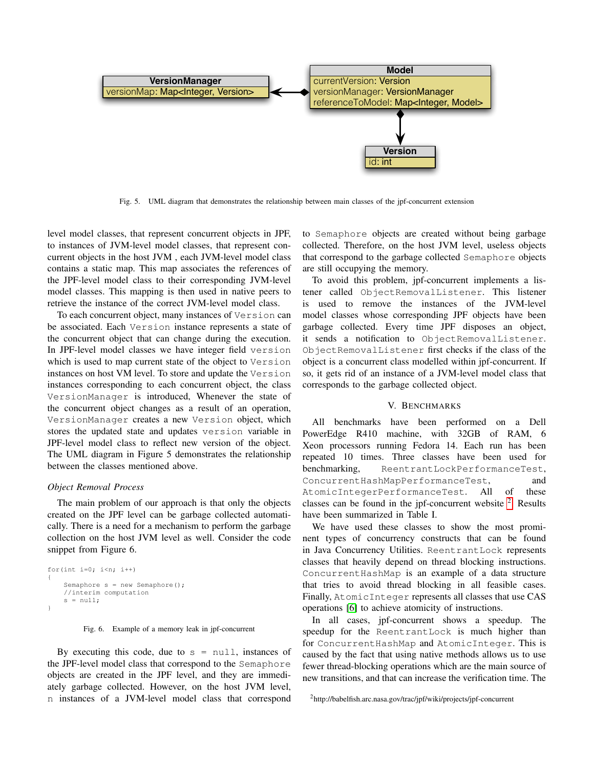

Fig. 5. UML diagram that demonstrates the relationship between main classes of the jpf-concurrent extension

level model classes, that represent concurrent objects in JPF, to instances of JVM-level model classes, that represent concurrent objects in the host JVM , each JVM-level model class contains a static map. This map associates the references of the JPF-level model class to their corresponding JVM-level model classes. This mapping is then used in native peers to retrieve the instance of the correct JVM-level model class.

To each concurrent object, many instances of Version can be associated. Each Version instance represents a state of the concurrent object that can change during the execution. In JPF-level model classes we have integer field version which is used to map current state of the object to Version instances on host VM level. To store and update the Version instances corresponding to each concurrent object, the class VersionManager is introduced, Whenever the state of the concurrent object changes as a result of an operation, VersionManager creates a new Version object, which stores the updated state and updates version variable in JPF-level model class to reflect new version of the object. The UML diagram in Figure 5 demonstrates the relationship between the classes mentioned above.

## *Object Removal Process*

The main problem of our approach is that only the objects created on the JPF level can be garbage collected automatically. There is a need for a mechanism to perform the garbage collection on the host JVM level as well. Consider the code snippet from Figure 6.

```
for(int i=0; i< n; i++)
{
    Semaphore s = new Semaphore();
    //interim computation
    s = null:
}
```
Fig. 6. Example of a memory leak in jpf-concurrent

By executing this code, due to  $s = null$ , instances of the JPF-level model class that correspond to the Semaphore objects are created in the JPF level, and they are immediately garbage collected. However, on the host JVM level, n instances of a JVM-level model class that correspond to Semaphore objects are created without being garbage collected. Therefore, on the host JVM level, useless objects that correspond to the garbage collected Semaphore objects are still occupying the memory.

To avoid this problem, jpf-concurrent implements a listener called ObjectRemovalListener. This listener is used to remove the instances of the JVM-level model classes whose corresponding JPF objects have been garbage collected. Every time JPF disposes an object, it sends a notification to ObjectRemovalListener. ObjectRemovalListener first checks if the class of the object is a concurrent class modelled within jpf-concurrent. If so, it gets rid of an instance of a JVM-level model class that corresponds to the garbage collected object.

## V. BENCHMARKS

All benchmarks have been performed on a Dell PowerEdge R410 machine, with 32GB of RAM, 6 Xeon processors running Fedora 14. Each run has been repeated 10 times. Three classes have been used for benchmarking, ReentrantLockPerformanceTest, ConcurrentHashMapPerformanceTest, and AtomicIntegerPerformanceTest. All of these classes can be found in the jpf-concurrent website  $2$ . Results have been summarized in Table I.

We have used these classes to show the most prominent types of concurrency constructs that can be found in Java Concurrency Utilities. ReentrantLock represents classes that heavily depend on thread blocking instructions. ConcurrentHashMap is an example of a data structure that tries to avoid thread blocking in all feasible cases. Finally, AtomicInteger represents all classes that use CAS operations [\[6\]](#page-5-9) to achieve atomicity of instructions.

In all cases, jpf-concurrent shows a speedup. The speedup for the ReentrantLock is much higher than for ConcurrentHashMap and AtomicInteger. This is caused by the fact that using native methods allows us to use fewer thread-blocking operations which are the main source of new transitions, and that can increase the verification time. The

<span id="page-4-0"></span><sup>2</sup>http://babelfish.arc.nasa.gov/trac/jpf/wiki/projects/jpf-concurrent